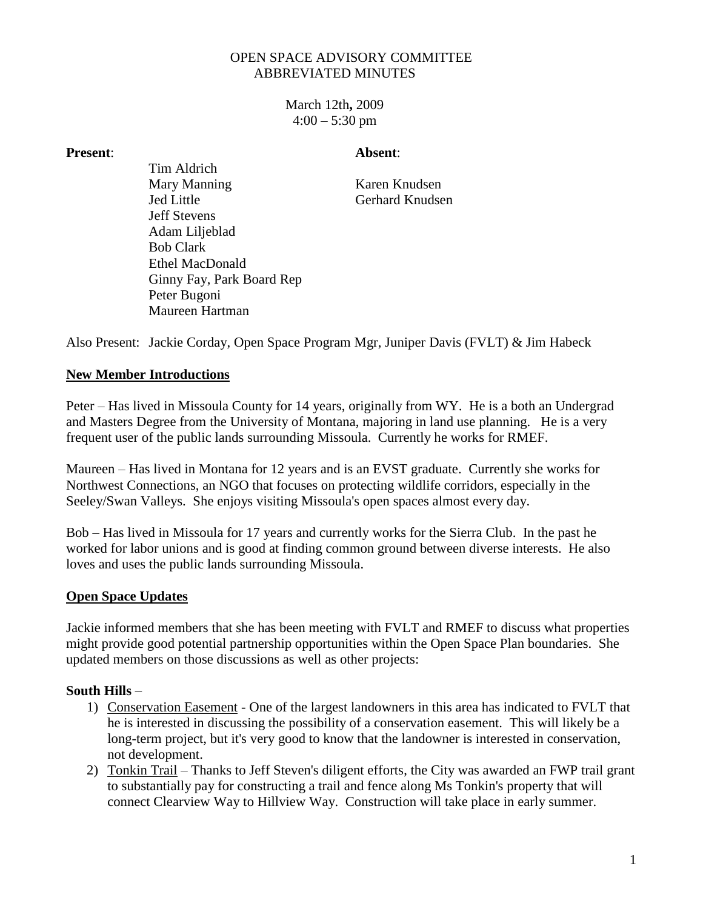## OPEN SPACE ADVISORY COMMITTEE ABBREVIATED MINUTES

March 12th**,** 2009  $4:00 - 5:30$  pm

#### **Present**: **Absent**:

Tim Aldrich Mary Manning Karen Knudsen Jed Little Gerhard Knudsen Jeff Stevens Adam Liljeblad Bob Clark Ethel MacDonald Ginny Fay, Park Board Rep Peter Bugoni Maureen Hartman

Also Present: Jackie Corday, Open Space Program Mgr, Juniper Davis (FVLT) & Jim Habeck

## **New Member Introductions**

Peter – Has lived in Missoula County for 14 years, originally from WY. He is a both an Undergrad and Masters Degree from the University of Montana, majoring in land use planning. He is a very frequent user of the public lands surrounding Missoula. Currently he works for RMEF.

Maureen – Has lived in Montana for 12 years and is an EVST graduate. Currently she works for Northwest Connections, an NGO that focuses on protecting wildlife corridors, especially in the Seeley/Swan Valleys. She enjoys visiting Missoula's open spaces almost every day.

Bob – Has lived in Missoula for 17 years and currently works for the Sierra Club. In the past he worked for labor unions and is good at finding common ground between diverse interests. He also loves and uses the public lands surrounding Missoula.

## **Open Space Updates**

Jackie informed members that she has been meeting with FVLT and RMEF to discuss what properties might provide good potential partnership opportunities within the Open Space Plan boundaries. She updated members on those discussions as well as other projects:

## **South Hills** –

- 1) Conservation Easement One of the largest landowners in this area has indicated to FVLT that he is interested in discussing the possibility of a conservation easement. This will likely be a long-term project, but it's very good to know that the landowner is interested in conservation, not development.
- 2) Tonkin Trail Thanks to Jeff Steven's diligent efforts, the City was awarded an FWP trail grant to substantially pay for constructing a trail and fence along Ms Tonkin's property that will connect Clearview Way to Hillview Way. Construction will take place in early summer.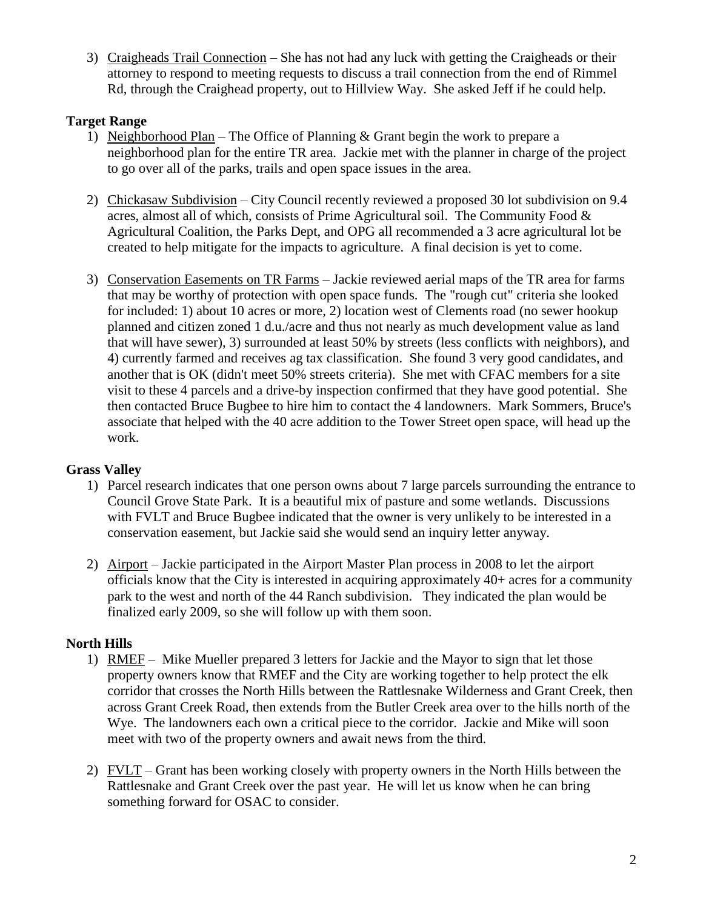3) Craigheads Trail Connection – She has not had any luck with getting the Craigheads or their attorney to respond to meeting requests to discuss a trail connection from the end of Rimmel Rd, through the Craighead property, out to Hillview Way. She asked Jeff if he could help.

## **Target Range**

- 1) Neighborhood Plan The Office of Planning & Grant begin the work to prepare a neighborhood plan for the entire TR area. Jackie met with the planner in charge of the project to go over all of the parks, trails and open space issues in the area.
- 2) Chickasaw Subdivision City Council recently reviewed a proposed 30 lot subdivision on 9.4 acres, almost all of which, consists of Prime Agricultural soil. The Community Food & Agricultural Coalition, the Parks Dept, and OPG all recommended a 3 acre agricultural lot be created to help mitigate for the impacts to agriculture. A final decision is yet to come.
- 3) Conservation Easements on TR Farms Jackie reviewed aerial maps of the TR area for farms that may be worthy of protection with open space funds. The "rough cut" criteria she looked for included: 1) about 10 acres or more, 2) location west of Clements road (no sewer hookup planned and citizen zoned 1 d.u./acre and thus not nearly as much development value as land that will have sewer), 3) surrounded at least 50% by streets (less conflicts with neighbors), and 4) currently farmed and receives ag tax classification. She found 3 very good candidates, and another that is OK (didn't meet 50% streets criteria). She met with CFAC members for a site visit to these 4 parcels and a drive-by inspection confirmed that they have good potential. She then contacted Bruce Bugbee to hire him to contact the 4 landowners. Mark Sommers, Bruce's associate that helped with the 40 acre addition to the Tower Street open space, will head up the work.

# **Grass Valley**

- 1) Parcel research indicates that one person owns about 7 large parcels surrounding the entrance to Council Grove State Park. It is a beautiful mix of pasture and some wetlands. Discussions with FVLT and Bruce Bugbee indicated that the owner is very unlikely to be interested in a conservation easement, but Jackie said she would send an inquiry letter anyway.
- 2) Airport Jackie participated in the Airport Master Plan process in 2008 to let the airport officials know that the City is interested in acquiring approximately 40+ acres for a community park to the west and north of the 44 Ranch subdivision. They indicated the plan would be finalized early 2009, so she will follow up with them soon.

## **North Hills**

- 1) RMEF Mike Mueller prepared 3 letters for Jackie and the Mayor to sign that let those property owners know that RMEF and the City are working together to help protect the elk corridor that crosses the North Hills between the Rattlesnake Wilderness and Grant Creek, then across Grant Creek Road, then extends from the Butler Creek area over to the hills north of the Wye. The landowners each own a critical piece to the corridor. Jackie and Mike will soon meet with two of the property owners and await news from the third.
- 2) FVLT Grant has been working closely with property owners in the North Hills between the Rattlesnake and Grant Creek over the past year. He will let us know when he can bring something forward for OSAC to consider.